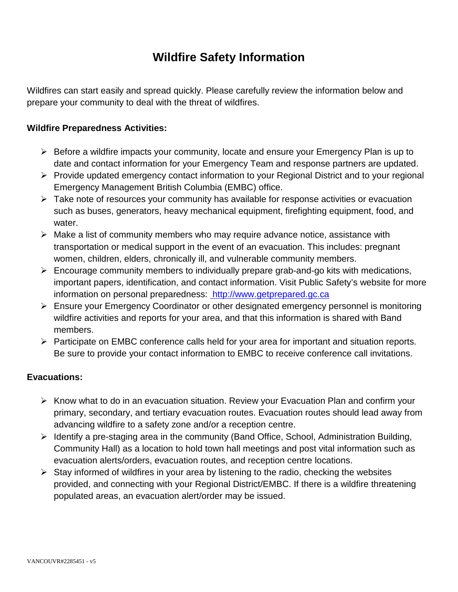## **Wildfire Safety Information**

Wildfires can start easily and spread quickly. Please carefully review the information below and prepare your community to deal with the threat of wildfires.

#### **Wildfire Preparedness Activities:**

- $\triangleright$  Before a wildfire impacts your community, locate and ensure your Emergency Plan is up to date and contact information for your Emergency Team and response partners are updated.
- Provide updated emergency contact information to your Regional District and to your regional Emergency Management British Columbia (EMBC) office.
- $\triangleright$  Take note of resources your community has available for response activities or evacuation such as buses, generators, heavy mechanical equipment, firefighting equipment, food, and water.
- $\triangleright$  Make a list of community members who may require advance notice, assistance with transportation or medical support in the event of an evacuation. This includes: pregnant women, children, elders, chronically ill, and vulnerable community members.
- $\triangleright$  Encourage community members to individually prepare grab-and-go kits with medications, important papers, identification, and contact information. Visit Public Safety's website for more information on personal preparedness: [http://www.getprepared.gc.ca](http://www.getprepared.gc.ca/)
- Ensure your Emergency Coordinator or other designated emergency personnel is monitoring wildfire activities and reports for your area, and that this information is shared with Band members.
- $\triangleright$  Participate on EMBC conference calls held for your area for important and situation reports. Be sure to provide your contact information to EMBC to receive conference call invitations.

#### **Evacuations:**

- $\triangleright$  Know what to do in an evacuation situation. Review your Evacuation Plan and confirm your primary, secondary, and tertiary evacuation routes. Evacuation routes should lead away from advancing wildfire to a safety zone and/or a reception centre.
- $\triangleright$  Identify a pre-staging area in the community (Band Office, School, Administration Building, Community Hall) as a location to hold town hall meetings and post vital information such as evacuation alerts/orders, evacuation routes, and reception centre locations.
- $\triangleright$  Stay informed of wildfires in your area by listening to the radio, checking the websites provided, and connecting with your Regional District/EMBC. If there is a wildfire threatening populated areas, an evacuation alert/order may be issued.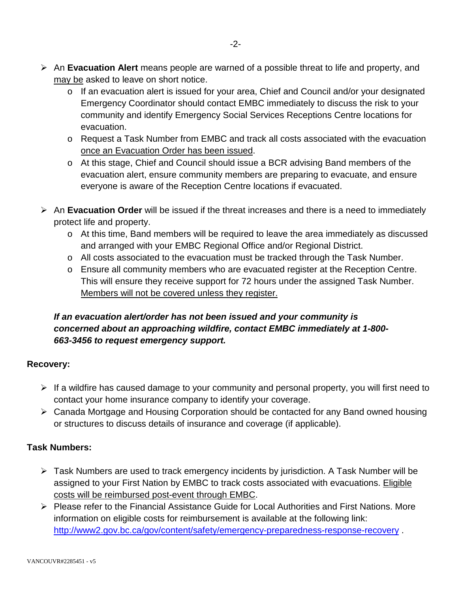- An **Evacuation Alert** means people are warned of a possible threat to life and property, and may be asked to leave on short notice.
	- o If an evacuation alert is issued for your area, Chief and Council and/or your designated Emergency Coordinator should contact EMBC immediately to discuss the risk to your community and identify Emergency Social Services Receptions Centre locations for evacuation.
	- o Request a Task Number from EMBC and track all costs associated with the evacuation once an Evacuation Order has been issued.
	- o At this stage, Chief and Council should issue a BCR advising Band members of the evacuation alert, ensure community members are preparing to evacuate, and ensure everyone is aware of the Reception Centre locations if evacuated.
- An **Evacuation Order** will be issued if the threat increases and there is a need to immediately protect life and property.
	- o At this time, Band members will be required to leave the area immediately as discussed and arranged with your EMBC Regional Office and/or Regional District.
	- o All costs associated to the evacuation must be tracked through the Task Number.
	- o Ensure all community members who are evacuated register at the Reception Centre. This will ensure they receive support for 72 hours under the assigned Task Number. Members will not be covered unless they register.

### *If an evacuation alert/order has not been issued and your community is concerned about an approaching wildfire, contact EMBC immediately at 1-800- 663-3456 to request emergency support.*

#### **Recovery:**

- $\triangleright$  If a wildfire has caused damage to your community and personal property, you will first need to contact your home insurance company to identify your coverage.
- Canada Mortgage and Housing Corporation should be contacted for any Band owned housing or structures to discuss details of insurance and coverage (if applicable).

### **Task Numbers:**

- Task Numbers are used to track emergency incidents by jurisdiction. A Task Number will be assigned to your First Nation by EMBC to track costs associated with evacuations. Eligible costs will be reimbursed post-event through EMBC.
- $\triangleright$  Please refer to the Financial Assistance Guide for Local Authorities and First Nations. More information on eligible costs for reimbursement is available at the following link: <http://www2.gov.bc.ca/gov/content/safety/emergency-preparedness-response-recovery> .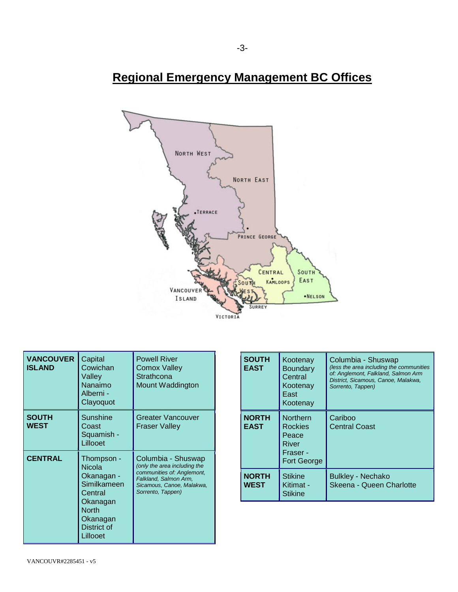# **Regional Emergency Management BC Offices**



| <b>VANCOUVER</b><br><b>ISLAND</b> | Capital<br>Cowichan<br>Valley<br>Nanaimo<br>Alberni -<br>Clayoquot                                                              | <b>Powell River</b><br>Comox Valley<br>Strathcona<br>Mount Waddington                                                                                       |
|-----------------------------------|---------------------------------------------------------------------------------------------------------------------------------|-------------------------------------------------------------------------------------------------------------------------------------------------------------|
| <b>SOUTH</b><br>WEST              | Sunshine<br>Coast<br>Squamish -<br>Lillooet                                                                                     | <b>Greater Vancouver</b><br><b>Fraser Valley</b>                                                                                                            |
| <b>CENTRAL</b>                    | Thompson -<br><b>Nicola</b><br>Okanagan -<br>Similkameen<br>Central<br>Okanagan<br>North<br>Okanagan<br>District of<br>Lillooet | Columbia - Shuswap<br>(only the area including the<br>communities of: Anglemont,<br>Falkland, Salmon Arm,<br>Sicamous, Canoe, Malakwa,<br>Sorrento, Tappen) |

| <b>SOUTH</b><br><b>EAST</b> | Kootenay<br>Boundary<br>Central<br>Kootenay<br>East<br>Kootenay                | Columbia - Shuswap<br>(less the area including the communities<br>of: Anglemont, Falkland, Salmon Arm<br>District, Sicamous, Canoe, Malakwa,<br>Sorrento, Tappen) |
|-----------------------------|--------------------------------------------------------------------------------|-------------------------------------------------------------------------------------------------------------------------------------------------------------------|
| <b>NORTH</b><br><b>EAST</b> | <b>Northern</b><br>Rockies<br>Peace<br>River<br>Fraser -<br><b>Fort George</b> | Cariboo<br><b>Central Coast</b>                                                                                                                                   |
| <b>NORTH</b><br>WEST        | <b>Stikine</b><br>Kitimat -<br><b>Stikine</b>                                  | <b>Bulkley - Nechako</b><br>Skeena - Queen Charlotte                                                                                                              |